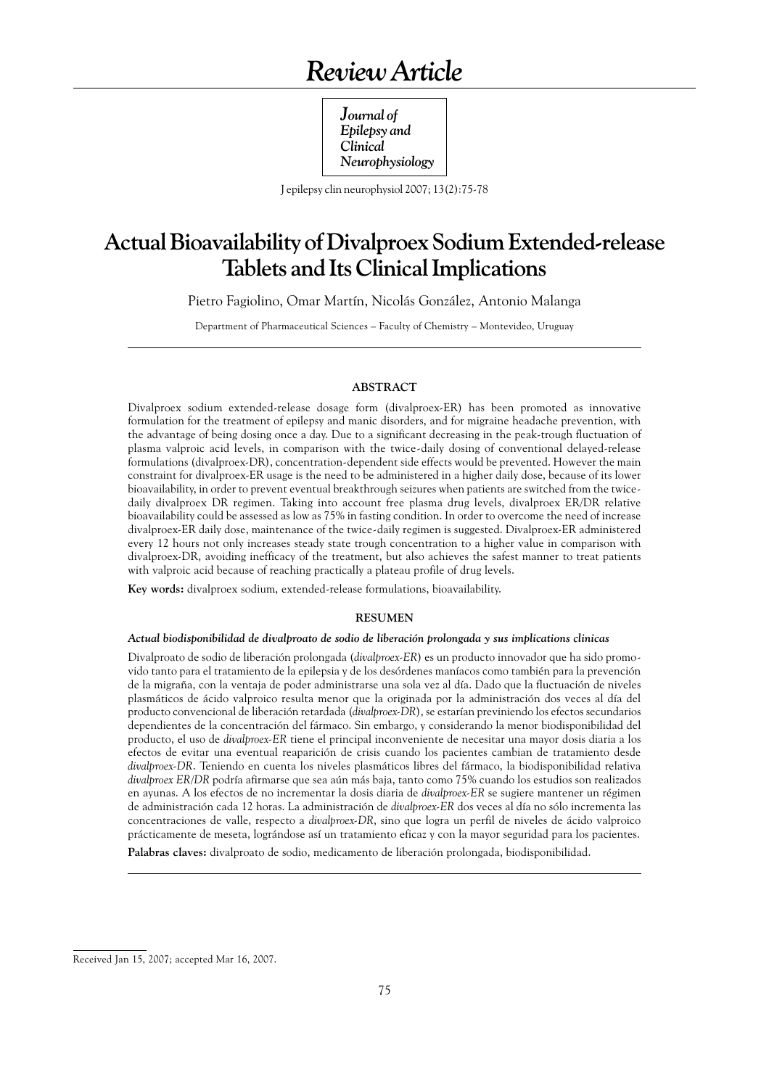# *Review Article*

*Journal of Epilepsy and Clinical Neurophysiology*

J epilepsy clin neurophysiol 2007; 13(2):75-78

# **Actual Bioavailability of Divalproex Sodium Extended-release Tablets and Its Clinical Implications**

Pietro Fagiolino, Omar Martín, Nicolás González, Antonio Malanga

Department of Pharmaceutical Sciences – Faculty of Chemistry – Montevideo, Uruguay

#### **ABSTRACT**

Divalproex sodium extended-release dosage form (divalproex-ER) has been promoted as innovative formulation for the treatment of epilepsy and manic disorders, and for migraine headache prevention, with the advantage of being dosing once a day. Due to a significant decreasing in the peak-trough fluctuation of plasma valproic acid levels, in comparison with the twice-daily dosing of conventional delayed-release formulations (divalproex-DR), concentration-dependent side effects would be prevented. However the main constraint for divalproex-ER usage is the need to be administered in a higher daily dose, because of its lower bioavailability, in order to prevent eventual breakthrough seizures when patients are switched from the twicedaily divalproex DR regimen. Taking into account free plasma drug levels, divalproex ER/DR relative bioavailability could be assessed as low as 75% in fasting condition. In order to overcome the need of increase divalproex-ER daily dose, maintenance of the twice-daily regimen is suggested. Divalproex-ER administered every 12 hours not only increases steady state trough concentration to a higher value in comparison with divalproex-DR, avoiding inefficacy of the treatment, but also achieves the safest manner to treat patients with valproic acid because of reaching practically a plateau profile of drug levels.

**Key words:** divalproex sodium, extended-release formulations, bioavailability.

#### **RESUMEN**

#### *Actual biodisponibilidad de divalproato de sodio de liberación prolongada y sus implications clinicas*

Divalproato de sodio de liberación prolongada (*divalproex-ER*) es un producto innovador que ha sido promovido tanto para el tratamiento de la epilepsia y de los desórdenes maníacos como también para la prevención de la migraña, con la ventaja de poder administrarse una sola vez al día. Dado que la fluctuación de niveles plasmáticos de ácido valproico resulta menor que la originada por la administración dos veces al día del producto convencional de liberación retardada (*divalproex-DR*), se estarían previniendo los efectos secundarios dependientes de la concentración del fármaco. Sin embargo, y considerando la menor biodisponibilidad del producto, el uso de *divalproex-ER* tiene el principal inconveniente de necesitar una mayor dosis diaria a los efectos de evitar una eventual reaparición de crisis cuando los pacientes cambian de tratamiento desde *divalproex-DR*. Teniendo en cuenta los niveles plasmáticos libres del fármaco, la biodisponibilidad relativa *divalproex ER/DR* podría afirmarse que sea aún más baja, tanto como 75% cuando los estudios son realizados en ayunas. A los efectos de no incrementar la dosis diaria de *divalproex-ER* se sugiere mantener un régimen de administración cada 12 horas. La administración de *divalproex-ER* dos veces al día no sólo incrementa las concentraciones de valle, respecto a *divalproex-DR*, sino que logra un perfil de niveles de ácido valproico prácticamente de meseta, lográndose así un tratamiento eficaz y con la mayor seguridad para los pacientes.

**Palabras claves:** divalproato de sodio, medicamento de liberación prolongada, biodisponibilidad.

Received Jan 15, 2007; accepted Mar 16, 2007.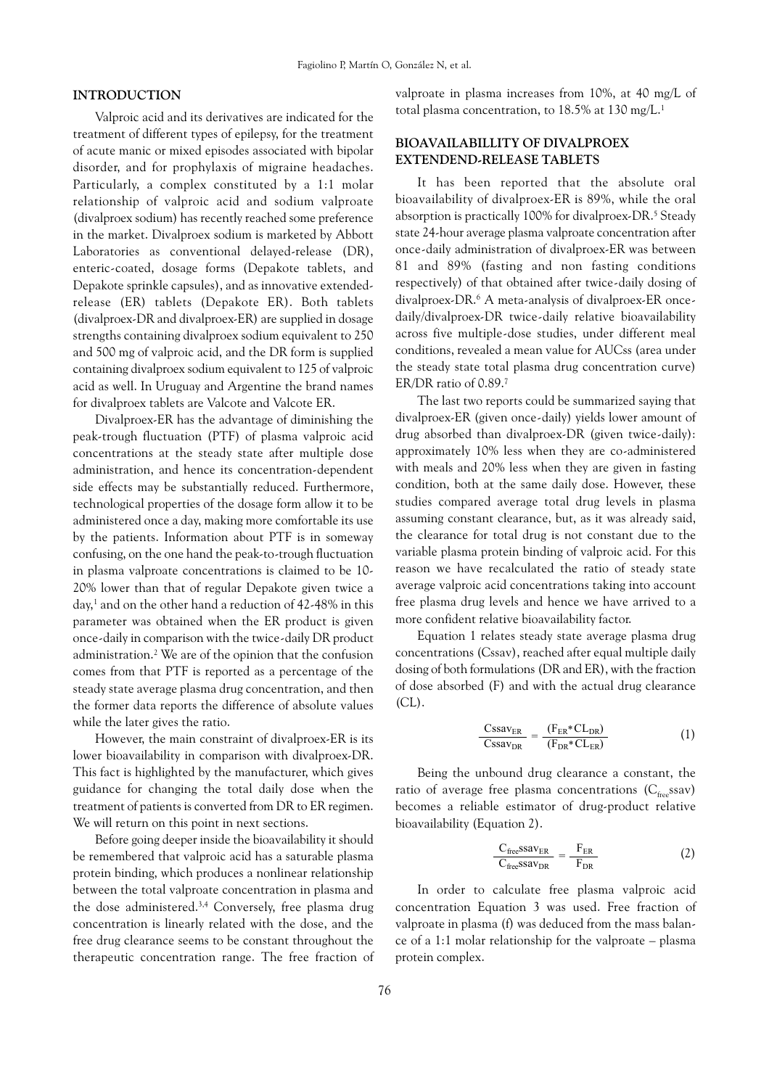## **INTRODUCTION**

Valproic acid and its derivatives are indicated for the treatment of different types of epilepsy, for the treatment of acute manic or mixed episodes associated with bipolar disorder, and for prophylaxis of migraine headaches. Particularly, a complex constituted by a 1:1 molar relationship of valproic acid and sodium valproate (divalproex sodium) has recently reached some preference in the market. Divalproex sodium is marketed by Abbott Laboratories as conventional delayed-release (DR), enteric-coated, dosage forms (Depakote tablets, and Depakote sprinkle capsules), and as innovative extendedrelease (ER) tablets (Depakote ER). Both tablets (divalproex-DR and divalproex-ER) are supplied in dosage strengths containing divalproex sodium equivalent to 250 and 500 mg of valproic acid, and the DR form is supplied containing divalproex sodium equivalent to 125 of valproic acid as well. In Uruguay and Argentine the brand names for divalproex tablets are Valcote and Valcote ER.

Divalproex-ER has the advantage of diminishing the peak-trough fluctuation (PTF) of plasma valproic acid concentrations at the steady state after multiple dose administration, and hence its concentration-dependent side effects may be substantially reduced. Furthermore, technological properties of the dosage form allow it to be administered once a day, making more comfortable its use by the patients. Information about PTF is in someway confusing, on the one hand the peak-to-trough fluctuation in plasma valproate concentrations is claimed to be 10- 20% lower than that of regular Depakote given twice a day,<sup>1</sup> and on the other hand a reduction of 42-48% in this parameter was obtained when the ER product is given once-daily in comparison with the twice-daily DR product administration.2 We are of the opinion that the confusion comes from that PTF is reported as a percentage of the steady state average plasma drug concentration, and then the former data reports the difference of absolute values while the later gives the ratio.

However, the main constraint of divalproex-ER is its lower bioavailability in comparison with divalproex-DR. This fact is highlighted by the manufacturer, which gives guidance for changing the total daily dose when the treatment of patients is converted from DR to ER regimen. We will return on this point in next sections.

Before going deeper inside the bioavailability it should be remembered that valproic acid has a saturable plasma protein binding, which produces a nonlinear relationship between the total valproate concentration in plasma and the dose administered.3,4 Conversely, free plasma drug concentration is linearly related with the dose, and the free drug clearance seems to be constant throughout the therapeutic concentration range. The free fraction of valproate in plasma increases from 10%, at 40 mg/L of total plasma concentration, to 18.5% at 130 mg/L.<sup>1</sup>

# **BIOAVAILABILLITY OF DIVALPROEX EXTENDEND-RELEASE TABLETS**

It has been reported that the absolute oral bioavailability of divalproex-ER is 89%, while the oral absorption is practically 100% for divalproex-DR.<sup>5</sup> Steady state 24-hour average plasma valproate concentration after once-daily administration of divalproex-ER was between 81 and 89% (fasting and non fasting conditions respectively) of that obtained after twice-daily dosing of divalproex-DR.6 A meta-analysis of divalproex-ER oncedaily/divalproex-DR twice-daily relative bioavailability across five multiple-dose studies, under different meal conditions, revealed a mean value for AUCss (area under the steady state total plasma drug concentration curve) ER/DR ratio of 0.89.7

The last two reports could be summarized saying that divalproex-ER (given once-daily) yields lower amount of drug absorbed than divalproex-DR (given twice-daily): approximately 10% less when they are co-administered with meals and 20% less when they are given in fasting condition, both at the same daily dose. However, these studies compared average total drug levels in plasma assuming constant clearance, but, as it was already said, the clearance for total drug is not constant due to the variable plasma protein binding of valproic acid. For this reason we have recalculated the ratio of steady state average valproic acid concentrations taking into account free plasma drug levels and hence we have arrived to a more confident relative bioavailability factor.

Equation 1 relates steady state average plasma drug concentrations (Cssav), reached after equal multiple daily dosing of both formulations (DR and ER), with the fraction of dose absorbed (F) and with the actual drug clearance  $(CL)$ .

$$
\frac{\text{Cssav}_{ER}}{\text{Cssav}_{DR}} = \frac{(F_{ER} * CL_{DR})}{(F_{DR} * CL_{ER})}
$$
(1)

Being the unbound drug clearance a constant, the ratio of average free plasma concentrations ( $C_{\text{free}}$ ssav) becomes a reliable estimator of drug-product relative bioavailability (Equation 2).

$$
\frac{C_{\text{free}} s s a v_{\text{ER}}}{C_{\text{free}} s s a v_{\text{DR}}} = \frac{F_{\text{ER}}}{F_{\text{DR}}} \tag{2}
$$

In order to calculate free plasma valproic acid concentration Equation 3 was used. Free fraction of valproate in plasma (f) was deduced from the mass balance of a 1:1 molar relationship for the valproate – plasma protein complex.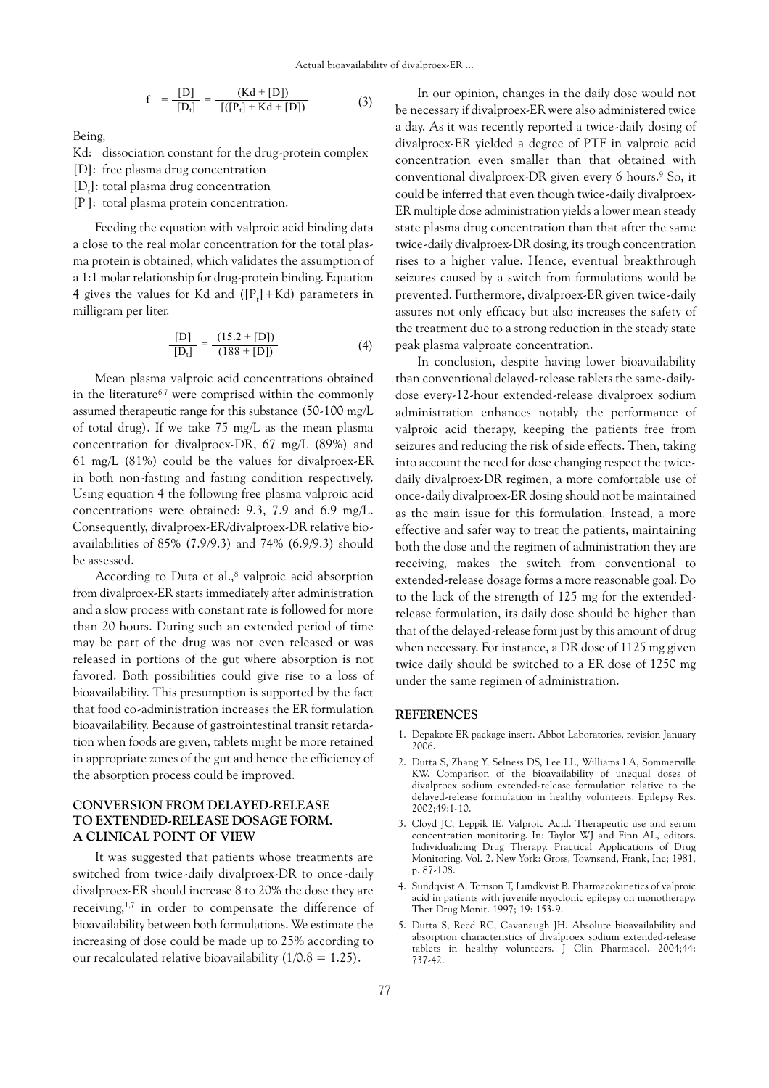Actual bioavailability of divalproex-ER ...

$$
f = \frac{[D]}{[D_t]} = \frac{(Kd + [D])}{[([P_t] + Kd + [D])}
$$
(3)

Being,

Kd: dissociation constant for the drug-protein complex

- [D]: free plasma drug concentration
- $[D_t]$ : total plasma drug concentration
- $[P_t]$ : total plasma protein concentration.

Feeding the equation with valproic acid binding data a close to the real molar concentration for the total plasma protein is obtained, which validates the assumption of a 1:1 molar relationship for drug-protein binding. Equation 4 gives the values for Kd and  $([P_t]+Kd)$  parameters in milligram per liter.

$$
\frac{[D]}{[D_t]} = \frac{(15.2 + [D])}{(188 + [D])}
$$
(4)

Mean plasma valproic acid concentrations obtained in the literature<sup>6,7</sup> were comprised within the commonly assumed therapeutic range for this substance (50-100 mg/L of total drug). If we take 75 mg/L as the mean plasma concentration for divalproex-DR, 67 mg/L (89%) and 61 mg/L (81%) could be the values for divalproex-ER in both non-fasting and fasting condition respectively. Using equation 4 the following free plasma valproic acid concentrations were obtained: 9.3, 7.9 and 6.9 mg/L. Consequently, divalproex-ER/divalproex-DR relative bioavailabilities of 85% (7.9/9.3) and 74% (6.9/9.3) should be assessed.

According to Duta et al.,<sup>8</sup> valproic acid absorption from divalproex-ER starts immediately after administration and a slow process with constant rate is followed for more than 20 hours. During such an extended period of time may be part of the drug was not even released or was released in portions of the gut where absorption is not favored. Both possibilities could give rise to a loss of bioavailability. This presumption is supported by the fact that food co-administration increases the ER formulation bioavailability. Because of gastrointestinal transit retardation when foods are given, tablets might be more retained in appropriate zones of the gut and hence the efficiency of the absorption process could be improved.

## **CONVERSION FROM DELAYED-RELEASE TO EXTENDED-RELEASE DOSAGE FORM. A CLINICAL POINT OF VIEW**

It was suggested that patients whose treatments are switched from twice-daily divalproex-DR to once-daily divalproex-ER should increase 8 to 20% the dose they are receiving,<sup>1,7</sup> in order to compensate the difference of bioavailability between both formulations. We estimate the increasing of dose could be made up to 25% according to our recalculated relative bioavailability  $(1/0.8 = 1.25)$ .

In our opinion, changes in the daily dose would not be necessary if divalproex-ER were also administered twice a day. As it was recently reported a twice-daily dosing of divalproex-ER yielded a degree of PTF in valproic acid concentration even smaller than that obtained with conventional divalproex-DR given every 6 hours.9 So, it could be inferred that even though twice-daily divalproex-ER multiple dose administration yields a lower mean steady state plasma drug concentration than that after the same twice-daily divalproex-DR dosing, its trough concentration rises to a higher value. Hence, eventual breakthrough seizures caused by a switch from formulations would be prevented. Furthermore, divalproex-ER given twice-daily assures not only efficacy but also increases the safety of the treatment due to a strong reduction in the steady state peak plasma valproate concentration.

In conclusion, despite having lower bioavailability than conventional delayed-release tablets the same-dailydose every-12-hour extended-release divalproex sodium administration enhances notably the performance of valproic acid therapy, keeping the patients free from seizures and reducing the risk of side effects. Then, taking into account the need for dose changing respect the twicedaily divalproex-DR regimen, a more comfortable use of once-daily divalproex-ER dosing should not be maintained as the main issue for this formulation. Instead, a more effective and safer way to treat the patients, maintaining both the dose and the regimen of administration they are receiving, makes the switch from conventional to extended-release dosage forms a more reasonable goal. Do to the lack of the strength of 125 mg for the extendedrelease formulation, its daily dose should be higher than that of the delayed-release form just by this amount of drug when necessary. For instance, a DR dose of 1125 mg given twice daily should be switched to a ER dose of 1250 mg under the same regimen of administration.

#### **REFERENCES**

- 1. Depakote ER package insert. Abbot Laboratories, revision January 2006.
- 2. Dutta S, Zhang Y, Selness DS, Lee LL, Williams LA, Sommerville KW. Comparison of the bioavailability of unequal doses of divalproex sodium extended-release formulation relative to the delayed-release formulation in healthy volunteers. Epilepsy Res. 2002;49:1-10.
- 3. Cloyd JC, Leppik IE. Valproic Acid. Therapeutic use and serum concentration monitoring. In: Taylor WJ and Finn AL, editors. Individualizing Drug Therapy. Practical Applications of Drug Monitoring. Vol. 2. New York: Gross, Townsend, Frank, Inc; 1981, p. 87-108.
- 4. Sundqvist A, Tomson T, Lundkvist B. Pharmacokinetics of valproic acid in patients with juvenile myoclonic epilepsy on monotherapy. Ther Drug Monit. 1997; 19: 153-9.
- 5. Dutta S, Reed RC, Cavanaugh JH. Absolute bioavailability and absorption characteristics of divalproex sodium extended-release tablets in healthy volunteers. J Clin Pharmacol. 2004;44: 737-42.